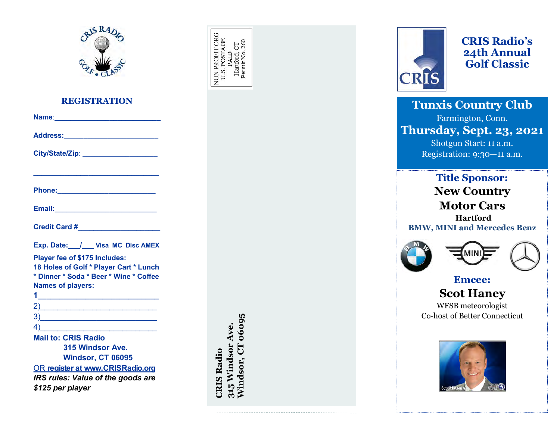

### **REGISTRATION**

| Address:___________________________                                                                                                                                                     |
|-----------------------------------------------------------------------------------------------------------------------------------------------------------------------------------------|
|                                                                                                                                                                                         |
| the control of the control of the control of the control of the control of the control of                                                                                               |
| Phone: <u>____________________________</u>                                                                                                                                              |
| Email: 2008 - 2008 - 2008 - 2019 - 2019 - 2019 - 2019 - 2019 - 2019 - 2019 - 2019 - 2019 - 2019 - 2019 - 2019                                                                           |
|                                                                                                                                                                                         |
| Exp. Date: / Visa MC Disc AMEX                                                                                                                                                          |
| Player fee of \$175 Includes:<br>18 Holes of Golf * Player Cart * Lunch<br>* Dinner * Soda * Beer * Wine * Coffee<br><b>Names of players:</b><br><u>1______________________________</u> |
| 2)                                                                                                                                                                                      |
| $\frac{3}{2}$                                                                                                                                                                           |
| 4)                                                                                                                                                                                      |
| <b>Mail to: CRIS Radio</b>                                                                                                                                                              |
| 315 Windsor Ave.                                                                                                                                                                        |
| Windsor, CT 06095                                                                                                                                                                       |
| OR register at www.CRISRadio.org                                                                                                                                                        |
| IRS rules: Value of the goods are                                                                                                                                                       |
| \$125 per player                                                                                                                                                                        |

Windsor, CT 06095 **Windsor, CT 06095CRIS Radio 315 Windsor Ave.**

**JON PROFIT ORG** 

S. POSTAGE PAID

Hartford, CT<br>Permit No. 260



**CRIS Radio 's 24th Annual Golf Classic**

**Tunxis Country Club** Farmington, Conn. **Thursday, Sept. 23, 2021** Shotgun Start: 11 a.m. Registration: 9:30 —11 a.m.

> **Title Sponsor: New Country Motor Cars**

**Hartford BMW, MINI and Mercedes Benz** 







**Emcee: Scot Haney**

WFSB meteorologist Co -host of Better Connecticut